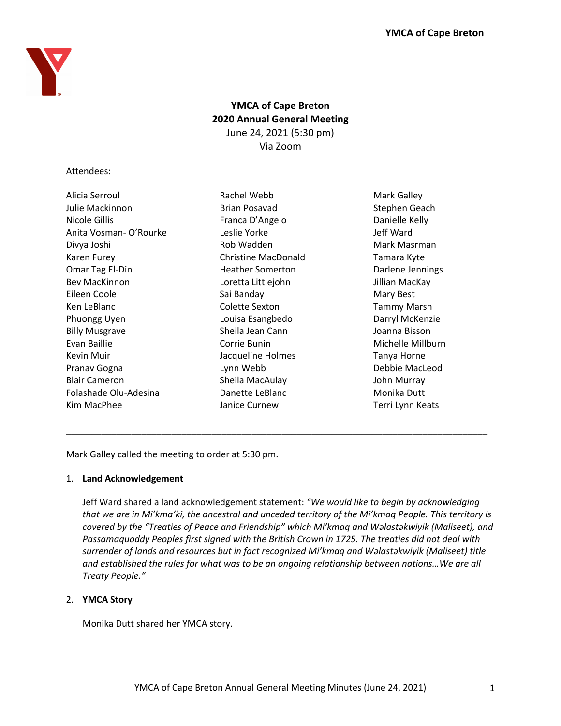

# **YMCA of Cape Breton 2020 Annual General Meeting** June 24, 2021 (5:30 pm) Via Zoom

# Attendees:

| Alicia Serroul        | Rachel Webb                | Mark Galley        |
|-----------------------|----------------------------|--------------------|
| Julie Mackinnon       | <b>Brian Posavad</b>       | Stephen Geach      |
| Nicole Gillis         | Franca D'Angelo            | Danielle Kelly     |
| Anita Vosman-O'Rourke | Leslie Yorke               | Jeff Ward          |
| Divya Joshi           | Rob Wadden                 | Mark Masrman       |
| Karen Furey           | <b>Christine MacDonald</b> | Tamara Kyte        |
| Omar Tag El-Din       | <b>Heather Somerton</b>    | Darlene Jennings   |
| <b>Bev MacKinnon</b>  | Loretta Littlejohn         | Jillian MacKay     |
| Eileen Coole          | Sai Banday                 | Mary Best          |
| Ken LeBlanc           | Colette Sexton             | <b>Tammy Marsh</b> |
| Phuongg Uyen          | Louisa Esangbedo           | Darryl McKenzie    |
| <b>Billy Musgrave</b> | Sheila Jean Cann           | Joanna Bisson      |
| Evan Baillie          | Corrie Bunin               | Michelle Millburn  |
| Kevin Muir            | Jacqueline Holmes          | Tanya Horne        |
| Pranav Gogna          | Lynn Webb                  | Debbie MacLeod     |
| <b>Blair Cameron</b>  | Sheila MacAulay            | John Murray        |
| Folashade Olu-Adesina | Danette LeBlanc            | Monika Dutt        |
| Kim MacPhee           | Janice Curnew              | Terri Lynn Keats   |

Mark Galley called the meeting to order at 5:30 pm.

# 1. **Land Acknowledgement**

Jeff Ward shared a land acknowledgement statement: *"We would like to begin by acknowledging that we are in Mi'kma'ki, the ancestral and unceded territory of the Mi'kmaq People. This territory is covered by the "Treaties of Peace and Friendship" which Mi'kmaq and Wəlastəkwiyik (Maliseet), and Passamaquoddy Peoples first signed with the British Crown in 1725. The treaties did not deal with surrender of lands and resources but in fact recognized Mi'kmaq and Wəlastəkwiyik (Maliseet) title and established the rules for what was to be an ongoing relationship between nations…We are all Treaty People."*

\_\_\_\_\_\_\_\_\_\_\_\_\_\_\_\_\_\_\_\_\_\_\_\_\_\_\_\_\_\_\_\_\_\_\_\_\_\_\_\_\_\_\_\_\_\_\_\_\_\_\_\_\_\_\_\_\_\_\_\_\_\_\_\_\_\_\_\_\_\_\_\_\_\_\_\_\_\_\_\_\_\_\_\_

# 2. **YMCA Story**

Monika Dutt shared her YMCA story.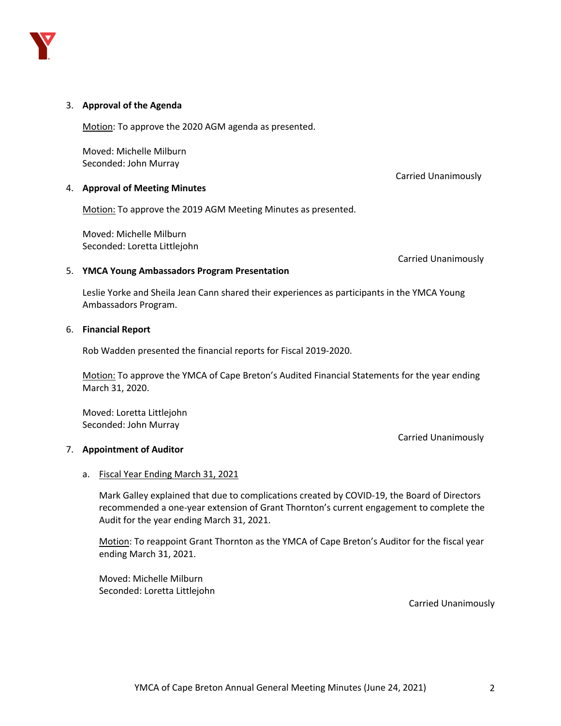

## 3. **Approval of the Agenda**

Motion: To approve the 2020 AGM agenda as presented.

Moved: Michelle Milburn Seconded: John Murray

## 4. **Approval of Meeting Minutes**

Motion: To approve the 2019 AGM Meeting Minutes as presented.

Moved: Michelle Milburn Seconded: Loretta Littlejohn

Carried Unanimously

Carried Unanimously

Carried Unanimously

#### 5. **YMCA Young Ambassadors Program Presentation**

Leslie Yorke and Sheila Jean Cann shared their experiences as participants in the YMCA Young Ambassadors Program.

#### 6. **Financial Report**

Rob Wadden presented the financial reports for Fiscal 2019-2020.

Motion: To approve the YMCA of Cape Breton's Audited Financial Statements for the year ending March 31, 2020.

Moved: Loretta Littlejohn Seconded: John Murray

## 7. **Appointment of Auditor**

## a. Fiscal Year Ending March 31, 2021

Mark Galley explained that due to complications created by COVID-19, the Board of Directors recommended a one-year extension of Grant Thornton's current engagement to complete the Audit for the year ending March 31, 2021.

Motion: To reappoint Grant Thornton as the YMCA of Cape Breton's Auditor for the fiscal year ending March 31, 2021.

Moved: Michelle Milburn Seconded: Loretta Littlejohn

Carried Unanimously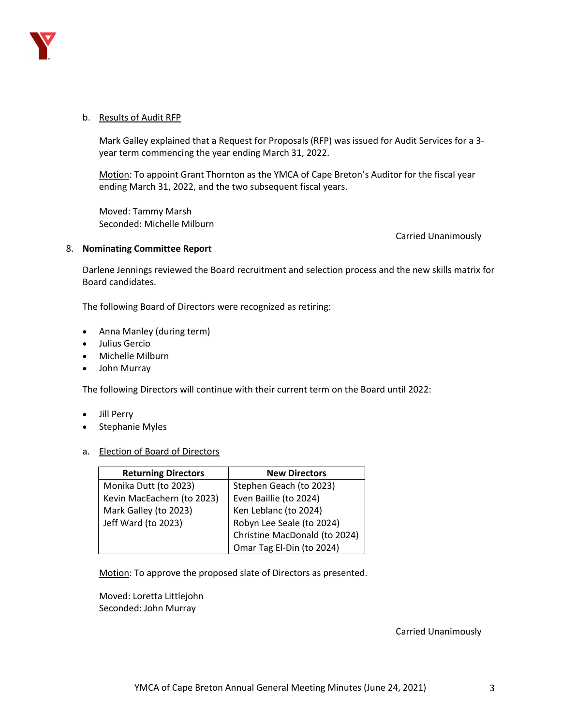

## b. Results of Audit RFP

Mark Galley explained that a Request for Proposals (RFP) was issued for Audit Services for a 3 year term commencing the year ending March 31, 2022.

Motion: To appoint Grant Thornton as the YMCA of Cape Breton's Auditor for the fiscal year ending March 31, 2022, and the two subsequent fiscal years.

Moved: Tammy Marsh Seconded: Michelle Milburn

Carried Unanimously

## 8. **Nominating Committee Report**

Darlene Jennings reviewed the Board recruitment and selection process and the new skills matrix for Board candidates.

The following Board of Directors were recognized as retiring:

- Anna Manley (during term)
- Julius Gercio
- Michelle Milburn
- John Murray

The following Directors will continue with their current term on the Board until 2022:

- Jill Perry
- Stephanie Myles
- a. Election of Board of Directors

| <b>Returning Directors</b> | <b>New Directors</b>          |  |
|----------------------------|-------------------------------|--|
| Monika Dutt (to 2023)      | Stephen Geach (to 2023)       |  |
| Kevin MacEachern (to 2023) | Even Baillie (to 2024)        |  |
| Mark Galley (to 2023)      | Ken Leblanc (to 2024)         |  |
| Jeff Ward (to 2023)        | Robyn Lee Seale (to 2024)     |  |
|                            | Christine MacDonald (to 2024) |  |
|                            | Omar Tag El-Din (to 2024)     |  |

Motion: To approve the proposed slate of Directors as presented.

Moved: Loretta Littlejohn Seconded: John Murray

Carried Unanimously